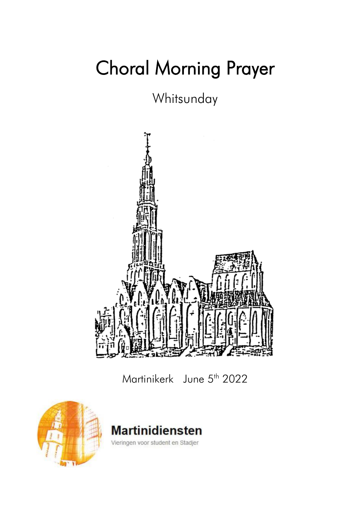# Choral Morning Prayer

Whitsunday



Martinikerk June 5<sup>th</sup> 2022



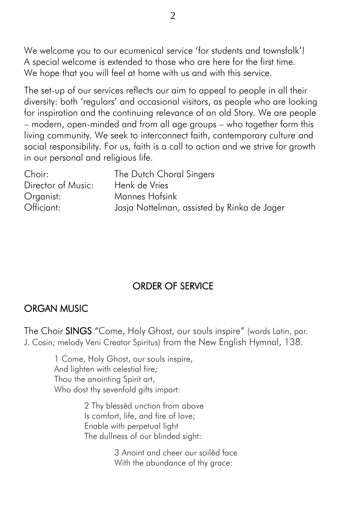We welcome you to our ecumenical service 'for students and townsfolk'! A special welcome is extended to those who are here for the first time. We hope that you will feel at home with us and with this service.

The set-up of our services reflects our aim to appeal to people in all their diversity: both 'regulars' and occasional visitors, as people who are looking for inspiration and the continuing relevance of an old Story. We are people – modern, open-minded and from all age groups – who together form this living community. We seek to interconnect faith, contemporary culture and social responsibility. For us, faith is a call to action and we strive for growth in our personal and religious life.

| Choir:             | The Dutch Choral Singers                    |
|--------------------|---------------------------------------------|
| Director of Music: | Henk de Vries                               |
| Organist:          | Mannes Hofsink                              |
| Officiant:         | Jasja Nottelman, assisted by Rinka de Jager |

#### ORDER OF SERVICE

#### ORGAN MUSIC

The Choir SINGS "Come, Holy Ghost, our souls inspire" (words Latin, par. J. Cosin; melody Veni Creator Spiritus) from the New English Hymnal, 138.

> 1 Come, Holy Ghost, our souls inspire, And lighten with celestial fire; Thou the anointing Spirit art, Who dost thy sevenfold gifts impart:

> > 2 Thy blessèd unction from above Is comfort, life, and fire of love; Enable with perpetual light The dullness of our blinded sight:

> > > 3 Anoint and cheer our soilèd face With the abundance of thy grace: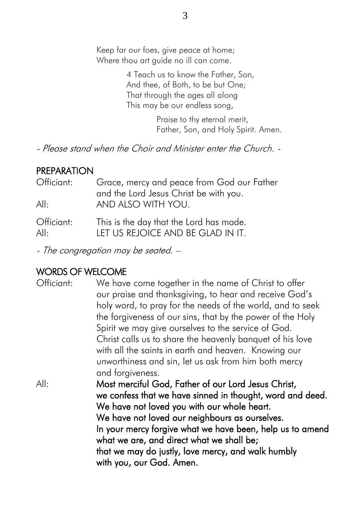Keep far our foes, give peace at home; Where thou art quide no ill can come.

> 4 Teach us to know the Father, Son, And thee, of Both, to be but One; That through the ages all along This may be our endless song,

> > Praise to thy eternal merit, Father, Son, and Holy Spirit. Amen.

- Please stand when the Choir and Minister enter the Church. -

## **PREPARATION**

| Officiant:<br>All: | Grace, mercy and peace from God our Father<br>and the Lord Jesus Christ be with you.<br>AND ALSO WITH YOU. |
|--------------------|------------------------------------------------------------------------------------------------------------|
| Officiant:         | This is the day that the Lord has made.                                                                    |
| All:               | LET US REJOICE AND BE GLAD IN IT.                                                                          |

- The congregation may be seated. –

## WORDS OF WELCOME

| Officiant: | We have come together in the name of Christ to offer<br>our praise and thanksgiving, to hear and receive God's<br>holy word, to pray for the needs of the world, and to seek<br>the forgiveness of our sins, that by the power of the Holy<br>Spirit we may give ourselves to the service of God.<br>Christ calls us to share the heavenly banquet of his love<br>with all the saints in earth and heaven. Knowing our<br>unworthiness and sin, let us ask from him both mercy |
|------------|--------------------------------------------------------------------------------------------------------------------------------------------------------------------------------------------------------------------------------------------------------------------------------------------------------------------------------------------------------------------------------------------------------------------------------------------------------------------------------|
|            | and forgiveness.                                                                                                                                                                                                                                                                                                                                                                                                                                                               |
| All:       | Most merciful God, Father of our Lord Jesus Christ,<br>we confess that we have sinned in thought, word and deed.<br>We have not loved you with our whole heart.<br>We have not loved our neighbours as ourselves.<br>In your mercy forgive what we have been, help us to amend<br>what we are, and direct what we shall be;<br>that we may do justly, love mercy, and walk humbly<br>with you, our God. Amen.                                                                  |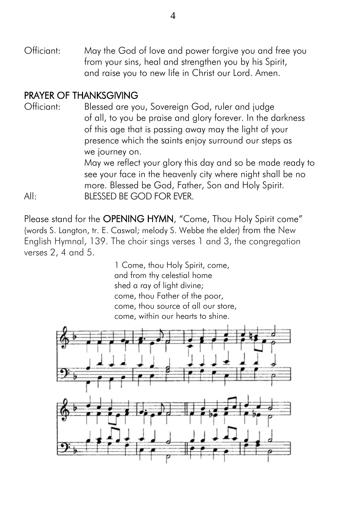Officiant: May the God of love and power forgive you and free you from your sins, heal and strengthen you by his Spirit, and raise you to new life in Christ our Lord. Amen.

#### PRAYER OF THANKSGIVING

Officiant: Blessed are you, Sovereign God, ruler and judge of all, to you be praise and glory forever. In the darkness of this age that is passing away may the light of your presence which the saints enjoy surround our steps as we journey on. May we reflect your glory this day and so be made ready to see your face in the heavenly city where night shall be no more. Blessed be God, Father, Son and Holy Spirit. All: BLESSED BE GOD FOR EVER.

Please stand for the OPENING HYMN, "Come, Thou Holy Spirit come" (words S. Langton, tr. E. Caswal; melody S. Webbe the elder) from the New English Hymnal, 139. The choir sings verses 1 and 3, the congregation verses 2, 4 and 5.

> 1 Come, thou Holy Spirit, come, and from thy celestial home shed a ray of light divine; come, thou Father of the poor, come, thou source of all our store, come, within our hearts to shine.

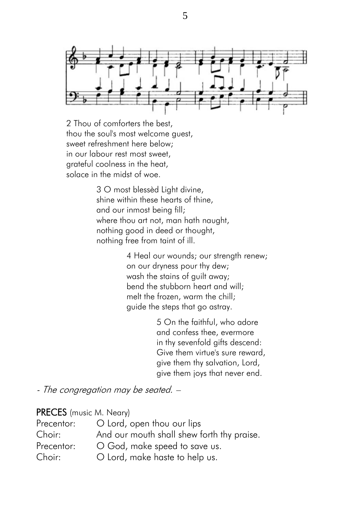

2 Thou of comforters the best, thou the soul's most welcome guest, sweet refreshment here below; in our labour rest most sweet, grateful coolness in the heat, solace in the midst of woe.

> 3 O most blessèd Light divine, shine within these hearts of thine, and our inmost being fill; where thou art not, man hath naught, nothing good in deed or thought, nothing free from taint of ill.

> > 4 Heal our wounds; our strength renew; on our dryness pour thy dew; wash the stains of guilt away; bend the stubborn heart and will; melt the frozen, warm the chill; guide the steps that go astray.

> > > 5 On the faithful, who adore and confess thee, evermore in thy sevenfold gifts descend: Give them virtue's sure reward, give them thy salvation, Lord, give them joys that never end.

- The congregation may be seated. –

PRECES (music M. Neary)

| O Lord, open thou our lips                 |
|--------------------------------------------|
| And our mouth shall shew forth thy praise. |
| O God, make speed to save us.              |
| O Lord, make haste to help us.             |
|                                            |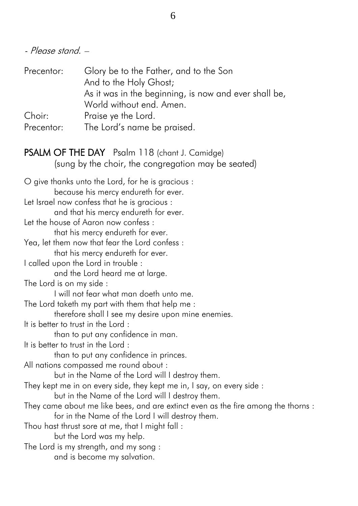- Please stand. –

| Precentor: | Glory be to the Father, and to the Son                |
|------------|-------------------------------------------------------|
|            | And to the Holy Ghost;                                |
|            | As it was in the beginning, is now and ever shall be, |
|            | World without end. Amen.                              |
| Choir:     | Praise ye the Lord.                                   |
| Precentor: | The Lord's name be praised.                           |

#### PSALM OF THE DAY Psalm 118 (chant J. Camidge)

(sung by the choir, the congregation may be seated)

O give thanks unto the Lord, for he is gracious : because his mercy endureth for ever. Let Israel now confess that he is aracious : and that his mercy endureth for ever. Let the house of Aaron now confess : that his mercy endureth for ever. Yea, let them now that fear the Lord confess : that his mercy endureth for ever. I called upon the Lord in trouble : and the Lord heard me at large. The Lord is on my side : I will not fear what man doeth unto me. The Lord taketh my part with them that help me : therefore shall I see my desire upon mine enemies. It is better to trust in the Lord : than to put any confidence in man. It is better to trust in the Lord : than to put any confidence in princes. All nations compassed me round about : but in the Name of the Lord will I destroy them. They kept me in on every side, they kept me in, I say, on every side : but in the Name of the Lord will I destroy them. They came about me like bees, and are extinct even as the fire among the thorns : for in the Name of the Lord I will destroy them. Thou hast thrust sore at me, that I might fall : but the Lord was my help. The Lord is my strength, and my song : and is become my salvation.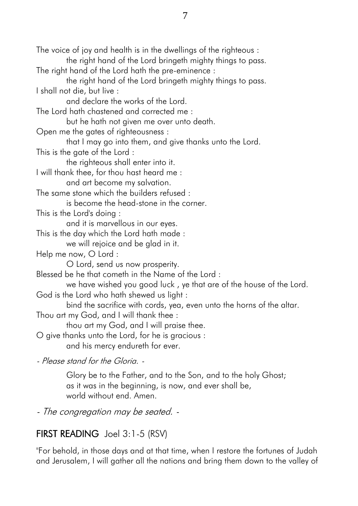The voice of joy and health is in the dwellings of the righteous : the right hand of the Lord bringeth mighty things to pass. The right hand of the Lord hath the pre-eminence : the right hand of the Lord bringeth mighty things to pass. I shall not die, but live : and declare the works of the Lord. The Lord hath chastened and corrected me : but he hath not given me over unto death. Open me the gates of righteousness : that I may go into them, and give thanks unto the Lord. This is the gate of the Lord : the righteous shall enter into it. I will thank thee, for thou hast heard me : and art become my salvation. The same stone which the builders refused : is become the head-stone in the corner. This is the Lord's doing : and it is marvellous in our eyes. This is the day which the Lord hath made : we will rejoice and be glad in it. Help me now, O Lord : O Lord, send us now prosperity. Blessed be he that cometh in the Name of the Lord : we have wished you good luck , ye that are of the house of the Lord. God is the Lord who hath shewed us light : bind the sacrifice with cords, yea, even unto the horns of the altar. Thou art my God, and I will thank thee : thou art my God, and I will praise thee. O give thanks unto the Lord, for he is gracious : and his mercy endureth for ever. - Please stand for the Gloria. -

Glory be to the Father, and to the Son, and to the holy Ghost; as it was in the beginning, is now, and ever shall be, world without end. Amen.

- The congregation may be seated. -

#### FIRST READING Joel 3:1-5 (RSV)

"For behold, in those days and at that time, when I restore the fortunes of Judah and Jerusalem, I will gather all the nations and bring them down to the valley of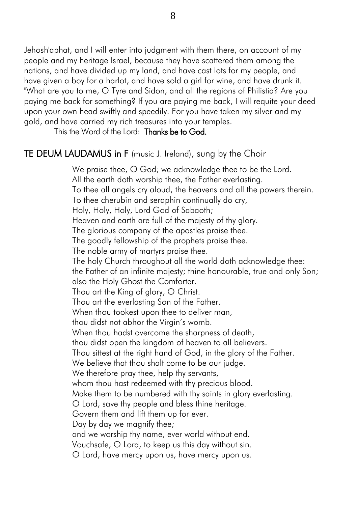Jehosh'aphat, and I will enter into judgment with them there, on account of my people and my heritage Israel, because they have scattered them among the nations, and have divided up my land, and have cast lots for my people, and have given a boy for a harlot, and have sold a girl for wine, and have drunk it. "What are you to me, O Tyre and Sidon, and all the regions of Philistia? Are you paying me back for something? If you are paying me back, I will requite your deed upon your own head swiftly and speedily. For you have taken my silver and my gold, and have carried my rich treasures into your temples.

This the Word of the Lord: Thanks be to God.

#### TE DEUM LAUDAMUS in F (music J. Ireland), sung by the Choir

We praise thee, O God; we acknowledge thee to be the Lord. All the earth doth worship thee, the Father everlasting. To thee all angels cry aloud, the heavens and all the powers therein. To thee cherubin and seraphin continually do cry, Holy, Holy, Holy, Lord God of Sabaoth; Heaven and earth are full of the majesty of thy glory. The glorious company of the apostles praise thee. The goodly fellowship of the prophets praise thee. The noble army of martyrs praise thee. The holy Church throughout all the world doth acknowledge thee: the Father of an infinite majesty; thine honourable, true and only Son; also the Holy Ghost the Comforter. Thou art the King of glory, O Christ. Thou art the everlasting Son of the Father. When thou tookest upon thee to deliver man, thou didst not abhor the Virgin's womb. When thou hadst overcome the sharpness of death, thou didst open the kingdom of heaven to all believers. Thou sittest at the right hand of God, in the glory of the Father. We believe that thou shalt come to be our judge. We therefore pray thee, help thy servants, whom thou hast redeemed with thy precious blood. Make them to be numbered with thy saints in glory everlasting. O Lord, save thy people and bless thine heritage. Govern them and lift them up for ever. Day by day we magnify thee; and we worship thy name, ever world without end. Vouchsafe, O Lord, to keep us this day without sin. O Lord, have mercy upon us, have mercy upon us.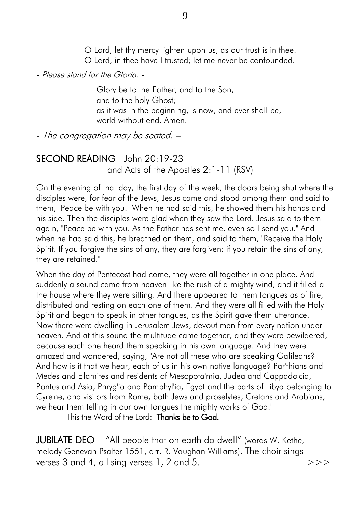O Lord, let thy mercy lighten upon us, as our trust is in thee. O Lord, in thee have I trusted; let me never be confounded.

- Please stand for the Gloria. -

Glory be to the Father, and to the Son, and to the holy Ghost; as it was in the beginning, is now, and ever shall be, world without end. Amen.

- The congregation may be seated. –

### SECOND READING John 20:19-23 and Acts of the Apostles 2:1-11 (RSV)

On the evening of that day, the first day of the week, the doors being shut where the disciples were, for fear of the Jews, Jesus came and stood among them and said to them, "Peace be with you." When he had said this, he showed them his hands and his side. Then the disciples were glad when they saw the Lord. Jesus said to them again, "Peace be with you. As the Father has sent me, even so I send you." And when he had said this, he breathed on them, and said to them, "Receive the Holy Spirit. If you forgive the sins of any, they are forgiven; if you retain the sins of any, they are retained."

When the day of Pentecost had come, they were all together in one place. And suddenly a sound came from heaven like the rush of a mighty wind, and it filled all the house where they were sitting. And there appeared to them tongues as of fire, distributed and resting on each one of them. And they were all filled with the Holy Spirit and began to speak in other tongues, as the Spirit gave them utterance. Now there were dwelling in Jerusalem Jews, devout men from every nation under heaven. And at this sound the multitude came together, and they were bewildered, because each one heard them speaking in his own language. And they were amazed and wondered, saying, "Are not all these who are speaking Galileans? And how is it that we hear, each of us in his own native language? Par'thians and Medes and E'lamites and residents of Mesopota'mia, Judea and Cappado'cia, Pontus and Asia, Phryg'ia and Pamphyl'ia, Egypt and the parts of Libya belonging to Cyre'ne, and visitors from Rome, both Jews and proselytes, Cretans and Arabians, we hear them telling in our own tongues the mighty works of God."

This the Word of the Lord: Thanks be to God.

JUBILATE DEO "All people that on earth do dwell" (words W. Kethe, melody Genevan Psalter 1551, arr. R. Vaughan Williams). The choir sings verses 3 and 4, all sing verses 1, 2 and 5.  $>>>$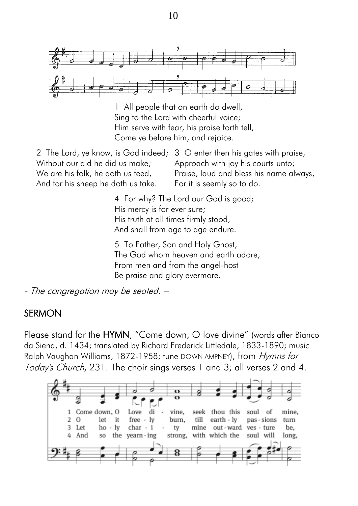

1 All people that on earth do dwell, Sing to the Lord with cheerful voice; Him serve with fear, his praise forth tell, Come ye before him, and rejoice.

2 The Lord, ye know, is God indeed; 3 O enter then his gates with praise, Without our aid he did us make; Approach with joy his courts unto; We are his folk, he doth us feed, Praise, laud and bless his name always, And for his sheep he doth us take. For it is seemly so to do.

> 4 For why? The Lord our God is good; His mercy is for ever sure; His truth at all times firmly stood, And shall from age to age endure.

5 To Father, Son and Holy Ghost, The God whom heaven and earth adore, From men and from the angel-host Be praise and glory evermore.

- The congregation may be seated. –

## **SERMON**

Please stand for the HYMN, "Come down, O love divine" (words after Bianco da Siena, d. 1434; translated by Richard Frederick Littledale, 1833-1890; music Ralph Vaughan Williams, 1872-1958; tune DOWN AMPNEY), from Hymns for Today's Church, 231. The choir sings verses 1 and 3; all verses 2 and 4.

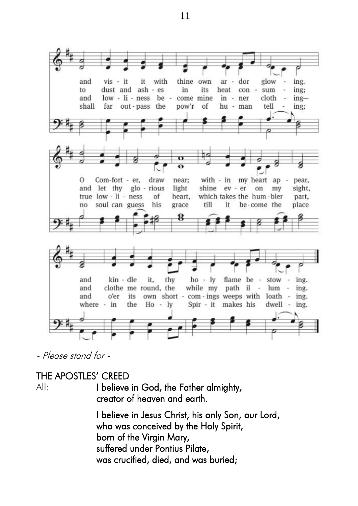

- Please stand for -

#### THE APOSTLES' CREED

All: I believe in God, the Father almighty, creator of heaven and earth.

> I believe in Jesus Christ, his only Son, our Lord, who was conceived by the Holy Spirit, born of the Virgin Mary, suffered under Pontius Pilate, was crucified, died, and was buried;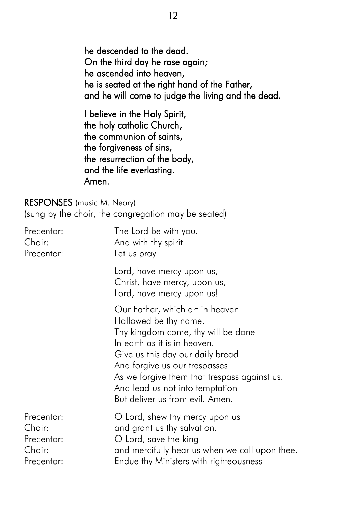he descended to the dead. On the third day he rose again; he ascended into heaven, he is seated at the right hand of the Father, and he will come to judge the living and the dead.

 I believe in the Holy Spirit, the holy catholic Church, the communion of saints, the forgiveness of sins, the resurrection of the body, and the life everlasting. Amen.

RESPONSES (music M. Neary) (sung by the choir, the congregation may be seated)

| Precentor: | The Lord be with you.                                                                                                                                                                                                                                                                                                     |
|------------|---------------------------------------------------------------------------------------------------------------------------------------------------------------------------------------------------------------------------------------------------------------------------------------------------------------------------|
| Choir:     | And with thy spirit.                                                                                                                                                                                                                                                                                                      |
| Precentor: | Let us pray                                                                                                                                                                                                                                                                                                               |
|            | Lord, have mercy upon us,<br>Christ, have mercy, upon us,<br>Lord, have mercy upon us!                                                                                                                                                                                                                                    |
|            | Our Father, which art in heaven<br>Hallowed be thy name.<br>Thy kingdom come, thy will be done<br>In earth as it is in heaven.<br>Give us this day our daily bread<br>And forgive us our trespasses<br>As we forgive them that trespass against us.<br>And lead us not into temptation<br>But deliver us from evil. Amen. |
| Precentor: | O Lord, shew thy mercy upon us                                                                                                                                                                                                                                                                                            |
| Choir:     | and grant us thy salvation.                                                                                                                                                                                                                                                                                               |
| Precentor: | O Lord, save the king                                                                                                                                                                                                                                                                                                     |
| Choir:     | and mercifully hear us when we call upon thee.                                                                                                                                                                                                                                                                            |
| Precentor: | Endue thy Ministers with righteousness                                                                                                                                                                                                                                                                                    |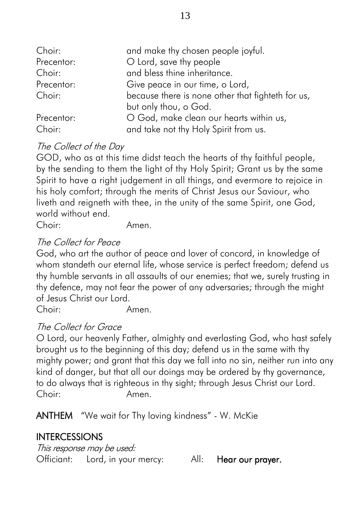| Choir:     | and make thy chosen people joyful.                |
|------------|---------------------------------------------------|
| Precentor: | O Lord, save thy people                           |
| Choir:     | and bless thine inheritance.                      |
| Precentor: | Give peace in our time, o Lord,                   |
| Choir:     | because there is none other that fighteth for us, |
|            | but only thou, o God.                             |
| Precentor: | O God, make clean our hearts within us,           |
| Choir:     | and take not thy Holy Spirit from us.             |

#### The Collect of the Day

GOD, who as at this time didst teach the hearts of thy faithful people, by the sending to them the light of thy Holy Spirit; Grant us by the same Spirit to have a right judgement in all things, and evermore to rejoice in his holy comfort; through the merits of Christ Jesus our Saviour, who liveth and reigneth with thee, in the unity of the same Spirit, one God, world without end.

Choir: Amen.

### The Collect for Peace

God, who art the author of peace and lover of concord, in knowledge of whom standeth our eternal life, whose service is perfect freedom; defend us thy humble servants in all assaults of our enemies; that we, surely trusting in thy defence, may not fear the power of any adversaries; through the might of Jesus Christ our Lord.

Choir: Amen.

#### The Collect for Grace

O Lord, our heavenly Father, almighty and everlasting God, who hast safely brought us to the beginning of this day; defend us in the same with thy mighty power; and grant that this day we fall into no sin, neither run into any kind of danger, but that all our doings may be ordered by thy governance, to do always that is righteous in thy sight; through Jesus Christ our Lord. Choir: Amen.

ANTHEM "We wait for Thy loving kindness" - W. McKie

## INTERCESSIONS

This response may be used:

Officiant: Lord, in your mercy: All: Hear our prayer.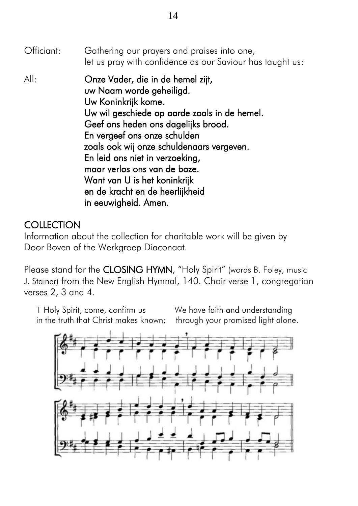| Officiant: | Gathering our prayers and praises into one,<br>let us pray with confidence as our Saviour has taught us:                                                                                                                                                                                                                                                                                                               |
|------------|------------------------------------------------------------------------------------------------------------------------------------------------------------------------------------------------------------------------------------------------------------------------------------------------------------------------------------------------------------------------------------------------------------------------|
| All:       | Onze Vader, die in de hemel zijt,<br>uw Naam worde geheiligd.<br>Uw Koninkrijk kome.<br>Uw wil geschiede op aarde zoals in de hemel.<br>Geef ons heden ons dagelijks brood.<br>En vergeef ons onze schulden<br>zoals ook wij onze schuldenaars vergeven.<br>En leid ons niet in verzoeking,<br>maar verlos ons van de boze.<br>Want van U is het koninkrijk<br>en de kracht en de heerlijkheid<br>in eeuwigheid. Amen. |

#### **COLLECTION**

Information about the collection for charitable work will be given by Door Boven of the Werkgroep Diaconaat.

Please stand for the CLOSING HYMN, "Holy Spirit" (words B. Foley, music J. Stainer) from the New English Hymnal, 140. Choir verse 1, congregation verses 2, 3 and 4.



1 Holy Spirit, come, confirm us We have faith and understanding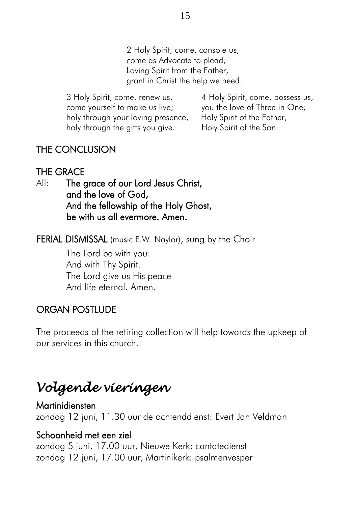2 Holy Spirit, come, console us, come as Advocate to plead; Loving Spirit from the Father, grant in Christ the help we need.

3 Holy Spirit, come, renew us, 4 Holy Spirit, come, possess us, come yourself to make us live; you the love of Three in One; holy through your loving presence, Holy Spirit of the Father, holy through the gifts you give. Holy Spirit of the Son.

### THE CONCLUSION

## THE GRACE

All: The grace of our Lord Jesus Christ, and the love of God, And the fellowship of the Holy Ghost, be with us all evermore. Amen.

FERIAL DISMISSAL (music E.W. Naylor), sung by the Choir

The Lord be with you: And with Thy Spirit. The Lord give us His peace And life eternal. Amen.

## ORGAN POSTLUDE

The proceeds of the retiring collection will help towards the upkeep of our services in this church.

## *Volgende vieringen*

Martinidiensten zondag 12 juni, 11.30 uur de ochtenddienst: Evert Jan Veldman

#### Schoonheid met een ziel

zondag 5 juni, 17.00 uur, Nieuwe Kerk: cantatedienst zondag 12 juni, 17.00 uur, Martinikerk: psalmenvesper